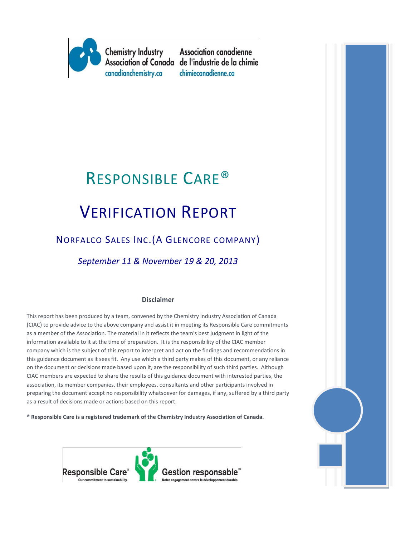

**Association canadienne** Association of Canada de l'industrie de la chimie chimiecanadienne.ca

## RESPONSIBLE CARE®

# VERIFICATION REPORT

## NORFALCO SALES INC.(A GLENCORE COMPANY)

*September 11 & November 19 & 20, 2013*

#### **Disclaimer**

This report has been produced by a team, convened by the Chemistry Industry Association of Canada (CIAC) to provide advice to the above company and assist it in meeting its Responsible Care commitments as a member of the Association. The material in it reflects the team's best judgment in light of the information available to it at the time of preparation. It is the responsibility of the CIAC member company which is the subject of this report to interpret and act on the findings and recommendations in this guidance document as it sees fit. Any use which a third party makes of this document, or any reliance on the document or decisions made based upon it, are the responsibility of such third parties. Although CIAC members are expected to share the results of this guidance document with interested parties, the association, its member companies, their employees, consultants and other participants involved in preparing the document accept no responsibility whatsoever for damages, if any, suffered by a third party as a result of decisions made or actions based on this report.

**® Responsible Care is a registered trademark of the Chemistry Industry Association of Canada.** 



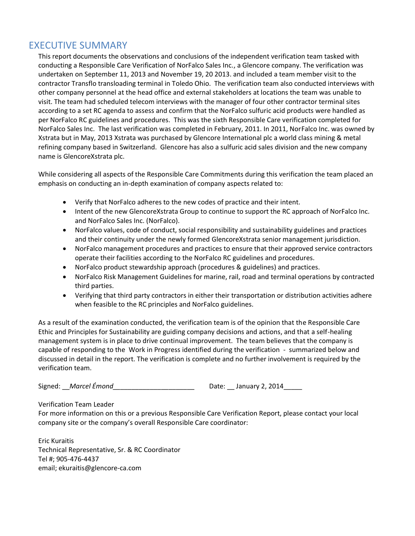## EXECUTIVE SUMMARY

This report documents the observations and conclusions of the independent verification team tasked with conducting a Responsible Care Verification of NorFalco Sales Inc., a Glencore company. The verification was undertaken on September 11, 2013 and November 19, 20 2013. and included a team member visit to the contractor Transflo transloading terminal in Toledo Ohio. The verification team also conducted interviews with other company personnel at the head office and external stakeholders at locations the team was unable to visit. The team had scheduled telecom interviews with the manager of four other contractor terminal sites according to a set RC agenda to assess and confirm that the NorFalco sulfuric acid products were handled as per NorFalco RC guidelines and procedures. This was the sixth Responsible Care verification completed for NorFalco Sales Inc. The last verification was completed in February, 2011. In 2011, NorFalco Inc. was owned by Xstrata but in May, 2013 Xstrata was purchased by Glencore International plc a world class mining & metal refining company based in Switzerland. Glencore has also a sulfuric acid sales division and the new company name is GlencoreXstrata plc.

While considering all aspects of the Responsible Care Commitments during this verification the team placed an emphasis on conducting an in-depth examination of company aspects related to:

- Verify that NorFalco adheres to the new codes of practice and their intent.
- Intent of the new GlencoreXstrata Group to continue to support the RC approach of NorFalco Inc. and NorFalco Sales Inc. (NorFalco).
- NorFalco values, code of conduct, social responsibility and sustainability guidelines and practices and their continuity under the newly formed GlencoreXstrata senior management jurisdiction.
- NorFalco management procedures and practices to ensure that their approved service contractors operate their facilities according to the NorFalco RC guidelines and procedures.
- NorFalco product stewardship approach (procedures & guidelines) and practices.
- NorFalco Risk Management Guidelines for marine, rail, road and terminal operations by contracted third parties.
- Verifying that third party contractors in either their transportation or distribution activities adhere when feasible to the RC principles and NorFalco guidelines.

As a result of the examination conducted, the verification team is of the opinion that the Responsible Care Ethic and Principles for Sustainability are guiding company decisions and actions, and that a self-healing management system is in place to drive continual improvement. The team believes that the company is capable of responding to the Work in Progress identified during the verification - summarized below and discussed in detail in the report. The verification is complete and no further involvement is required by the verification team.

Signed: *\_\_Marcel Émond\_\_\_\_\_\_\_\_\_\_\_\_\_\_\_\_\_\_\_\_\_\_\_\_\_* Date: \_\_January 2, 2014\_\_\_\_\_

Verification Team Leader

For more information on this or a previous Responsible Care Verification Report, please contact your local company site or the company's overall Responsible Care coordinator:

Eric Kuraitis Technical Representative, Sr. & RC Coordinator Tel #; 905-476-4437 email; ekuraitis@glencore-ca.com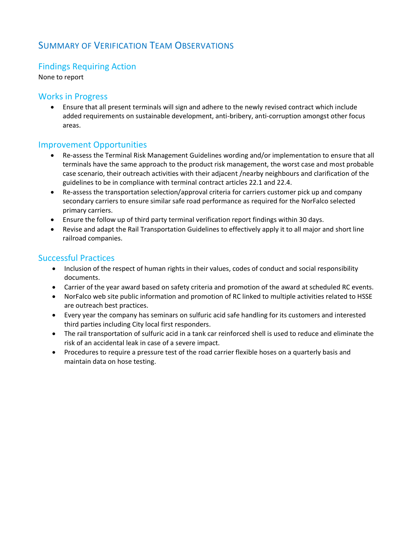## SUMMARY OF VERIFICATION TEAM OBSERVATIONS

## Findings Requiring Action

None to report

#### Works in Progress

• Ensure that all present terminals will sign and adhere to the newly revised contract which include added requirements on sustainable development, anti-bribery, anti-corruption amongst other focus areas.

#### Improvement Opportunities

- Re-assess the Terminal Risk Management Guidelines wording and/or implementation to ensure that all terminals have the same approach to the product risk management, the worst case and most probable case scenario, their outreach activities with their adjacent /nearby neighbours and clarification of the guidelines to be in compliance with terminal contract articles 22.1 and 22.4.
- Re-assess the transportation selection/approval criteria for carriers customer pick up and company secondary carriers to ensure similar safe road performance as required for the NorFalco selected primary carriers.
- Ensure the follow up of third party terminal verification report findings within 30 days.
- Revise and adapt the Rail Transportation Guidelines to effectively apply it to all major and short line railroad companies.

#### Successful Practices

- Inclusion of the respect of human rights in their values, codes of conduct and social responsibility documents.
- Carrier of the year award based on safety criteria and promotion of the award at scheduled RC events.
- NorFalco web site public information and promotion of RC linked to multiple activities related to HSSE are outreach best practices.
- Every year the company has seminars on sulfuric acid safe handling for its customers and interested third parties including City local first responders.
- The rail transportation of sulfuric acid in a tank car reinforced shell is used to reduce and eliminate the risk of an accidental leak in case of a severe impact.
- Procedures to require a pressure test of the road carrier flexible hoses on a quarterly basis and maintain data on hose testing.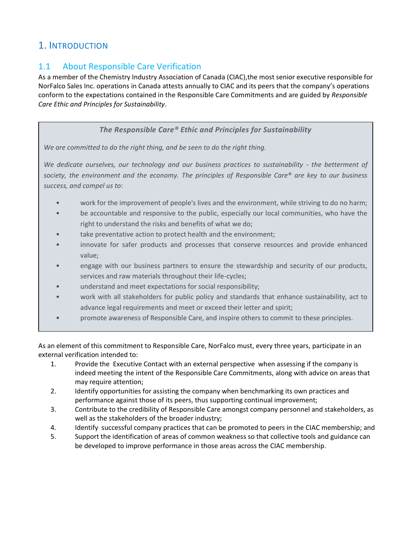## 1. INTRODUCTION

## 1.1 About Responsible Care Verification

As a member of the Chemistry Industry Association of Canada (CIAC),the most senior executive responsible for NorFalco Sales Inc. operations in Canada attests annually to CIAC and its peers that the company's operations conform to the expectations contained in the Responsible Care Commitments and are guided by *Responsible Care Ethic and Principles for Sustainability*.

#### *The Responsible Care® Ethic and Principles for Sustainability*

*We are committed to do the right thing, and be seen to do the right thing.*

*We dedicate ourselves, our technology and our business practices to sustainability - the betterment of society, the environment and the economy. The principles of Responsible Care® are key to our business success, and compel us to*:

- work for the improvement of people's lives and the environment, while striving to do no harm;
- be accountable and responsive to the public, especially our local communities, who have the right to understand the risks and benefits of what we do;
- take preventative action to protect health and the environment;
- innovate for safer products and processes that conserve resources and provide enhanced value;
- engage with our business partners to ensure the stewardship and security of our products, services and raw materials throughout their life-cycles;
- understand and meet expectations for social responsibility;
- work with all stakeholders for public policy and standards that enhance sustainability, act to advance legal requirements and meet or exceed their letter and spirit;
- promote awareness of Responsible Care, and inspire others to commit to these principles.

As an element of this commitment to Responsible Care, NorFalco must, every three years, participate in an external verification intended to:

- 1. Provide the Executive Contact with an external perspective when assessing if the company is indeed meeting the intent of the Responsible Care Commitments, along with advice on areas that may require attention;
- 2. Identify opportunities for assisting the company when benchmarking its own practices and performance against those of its peers, thus supporting continual improvement;
- 3. Contribute to the credibility of Responsible Care amongst company personnel and stakeholders, as well as the stakeholders of the broader industry;
- 4. Identify successful company practices that can be promoted to peers in the CIAC membership; and
- 5. Support the identification of areas of common weakness so that collective tools and guidance can be developed to improve performance in those areas across the CIAC membership.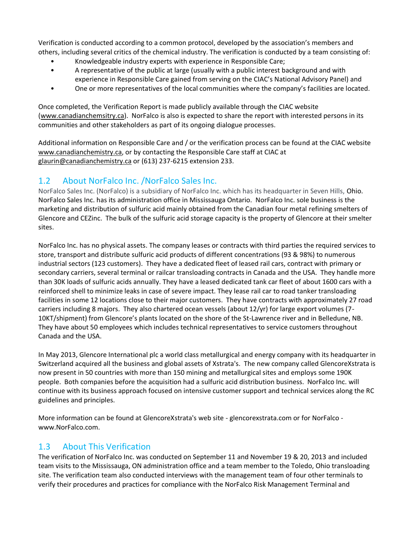Verification is conducted according to a common protocol, developed by the association's members and others, including several critics of the chemical industry. The verification is conducted by a team consisting of:

- Knowledgeable industry experts with experience in Responsible Care;
- A representative of the public at large (usually with a public interest background and with experience in Responsible Care gained from serving on the CIAC's National Advisory Panel) and
- One or more representatives of the local communities where the company's facilities are located.

Once completed, the Verification Report is made publicly available through the CIAC website [\(www.canadianchemsitry.ca\)](http://www.canadianchemsitry.ca/). NorFalco is also is expected to share the report with interested persons in its communities and other stakeholders as part of its ongoing dialogue processes.

Additional information on Responsible Care and / or the verification process can be found at the CIAC website [www.canadianchemistry.ca,](http://www.canadianchemistry.ca/) or by contacting the Responsible Care staff at CIAC at [glaurin@canadianchemistry.ca](mailto:glaurin@canadianchemistry.ca) or (613) 237-6215 extension 233.

## 1.2 About NorFalco Inc. /NorFalco Sales Inc.

NorFalco Sales Inc. (NorFalco) is a subsidiary of NorFalco Inc. which has its headquarter in Seven Hills, Ohio. NorFalco Sales Inc. has its administration office in Mississauga Ontario. NorFalco Inc. sole business is the marketing and distribution of sulfuric acid mainly obtained from the Canadian four metal refining smelters of Glencore and CEZinc. The bulk of the sulfuric acid storage capacity is the property of Glencore at their smelter sites.

NorFalco Inc. has no physical assets. The company leases or contracts with third parties the required services to store, transport and distribute sulfuric acid products of different concentrations (93 & 98%) to numerous industrial sectors (123 customers). They have a dedicated fleet of leased rail cars, contract with primary or secondary carriers, several terminal or railcar transloading contracts in Canada and the USA. They handle more than 30K loads of sulfuric acids annually. They have a leased dedicated tank car fleet of about 1600 cars with a reinforced shell to minimize leaks in case of severe impact. They lease rail car to road tanker transloading facilities in some 12 locations close to their major customers. They have contracts with approximately 27 road carriers including 8 majors. They also chartered ocean vessels (about 12/yr) for large export volumes (7- 10KT/shipment) from Glencore's plants located on the shore of the St-Lawrence river and in Belledune, NB. They have about 50 employees which includes technical representatives to service customers throughout Canada and the USA.

In May 2013, Glencore International plc a world class metallurgical and energy company with its headquarter in Switzerland acquired all the business and global assets of Xstrata's. The new company called GlencoreXstrata is now present in 50 countries with more than 150 mining and metallurgical sites and employs some 190K people. Both companies before the acquisition had a sulfuric acid distribution business. NorFalco Inc. will continue with its business approach focused on intensive customer support and technical services along the RC guidelines and principles.

More information can be found at GlencoreXstrata's web site - glencorexstrata.com or for NorFalco www.NorFalco.com.

#### 1.3 About This Verification

The verification of NorFalco Inc. was conducted on September 11 and November 19 & 20, 2013 and included team visits to the Mississauga, ON administration office and a team member to the Toledo, Ohio transloading site. The verification team also conducted interviews with the management team of four other terminals to verify their procedures and practices for compliance with the NorFalco Risk Management Terminal and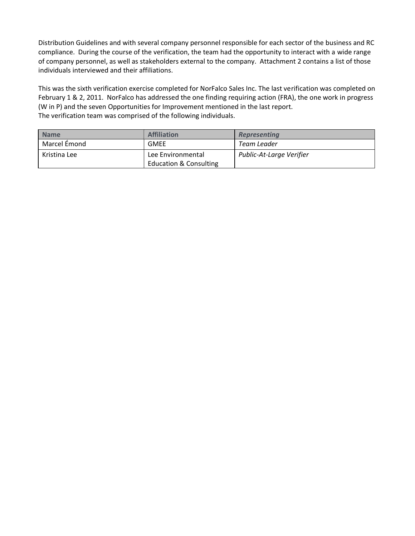Distribution Guidelines and with several company personnel responsible for each sector of the business and RC compliance. During the course of the verification, the team had the opportunity to interact with a wide range of company personnel, as well as stakeholders external to the company. Attachment 2 contains a list of those individuals interviewed and their affiliations.

This was the sixth verification exercise completed for NorFalco Sales Inc. The last verification was completed on February 1 & 2, 2011. NorFalco has addressed the one finding requiring action (FRA), the one work in progress (W in P) and the seven Opportunities for Improvement mentioned in the last report. The verification team was comprised of the following individuals.

| <b>Name</b>  | <b>Affiliation</b>                | <b>Representing</b>      |
|--------------|-----------------------------------|--------------------------|
| Marcel Émond | <b>GMEE</b>                       | Team Leader              |
| Kristina Lee | Lee Environmental                 | Public-At-Large Verifier |
|              | <b>Education &amp; Consulting</b> |                          |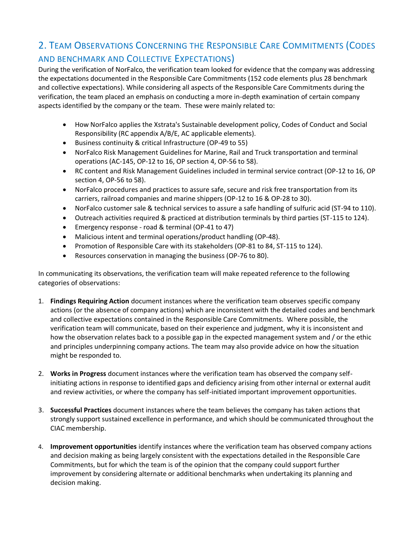## 2. TEAM OBSERVATIONS CONCERNING THE RESPONSIBLE CARE COMMITMENTS (CODES AND BENCHMARK AND COLLECTIVE EXPECTATIONS)

During the verification of NorFalco, the verification team looked for evidence that the company was addressing the expectations documented in the Responsible Care Commitments (152 code elements plus 28 benchmark and collective expectations). While considering all aspects of the Responsible Care Commitments during the verification, the team placed an emphasis on conducting a more in-depth examination of certain company aspects identified by the company or the team. These were mainly related to:

- How NorFalco applies the Xstrata's Sustainable development policy, Codes of Conduct and Social Responsibility (RC appendix A/B/E, AC applicable elements).
- Business continuity & critical Infrastructure (OP-49 to 55)
- NorFalco Risk Management Guidelines for Marine, Rail and Truck transportation and terminal operations (AC-145, OP-12 to 16, OP section 4, OP-56 to 58).
- RC content and Risk Management Guidelines included in terminal service contract (OP-12 to 16, OP section 4, OP-56 to 58).
- NorFalco procedures and practices to assure safe, secure and risk free transportation from its carriers, railroad companies and marine shippers (OP-12 to 16 & OP-28 to 30).
- NorFalco customer sale & technical services to assure a safe handling of sulfuric acid (ST-94 to 110).
- Outreach activities required & practiced at distribution terminals by third parties (ST-115 to 124).
- Emergency response road & terminal (OP-41 to 47)
- Malicious intent and terminal operations/product handling (OP-48).
- Promotion of Responsible Care with its stakeholders (OP-81 to 84, ST-115 to 124).
- Resources conservation in managing the business (OP-76 to 80).

In communicating its observations, the verification team will make repeated reference to the following categories of observations:

- 1. **Findings Requiring Action** document instances where the verification team observes specific company actions (or the absence of company actions) which are inconsistent with the detailed codes and benchmark and collective expectations contained in the Responsible Care Commitments. Where possible, the verification team will communicate, based on their experience and judgment, why it is inconsistent and how the observation relates back to a possible gap in the expected management system and / or the ethic and principles underpinning company actions. The team may also provide advice on how the situation might be responded to.
- 2. **Works in Progress** document instances where the verification team has observed the company selfinitiating actions in response to identified gaps and deficiency arising from other internal or external audit and review activities, or where the company has self-initiated important improvement opportunities.
- 3. **Successful Practices** document instances where the team believes the company has taken actions that strongly support sustained excellence in performance, and which should be communicated throughout the CIAC membership.
- 4. **Improvement opportunities** identify instances where the verification team has observed company actions and decision making as being largely consistent with the expectations detailed in the Responsible Care Commitments, but for which the team is of the opinion that the company could support further improvement by considering alternate or additional benchmarks when undertaking its planning and decision making.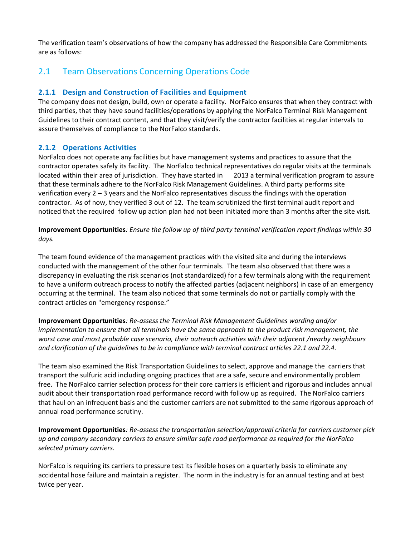The verification team's observations of how the company has addressed the Responsible Care Commitments are as follows:

## 2.1 Team Observations Concerning Operations Code

#### **2.1.1 Design and Construction of Facilities and Equipment**

The company does not design, build, own or operate a facility. NorFalco ensures that when they contract with third parties, that they have sound facilities/operations by applying the NorFalco Terminal Risk Management Guidelines to their contract content, and that they visit/verify the contractor facilities at regular intervals to assure themselves of compliance to the NorFalco standards.

#### **2.1.2 Operations Activities**

NorFalco does not operate any facilities but have management systems and practices to assure that the contractor operates safely its facility. The NorFalco technical representatives do regular visits at the terminals located within their area of jurisdiction. They have started in 2013 a terminal verification program to assure that these terminals adhere to the NorFalco Risk Management Guidelines. A third party performs site verification every 2 – 3 years and the NorFalco representatives discuss the findings with the operation contractor. As of now, they verified 3 out of 12. The team scrutinized the first terminal audit report and noticed that the required follow up action plan had not been initiated more than 3 months after the site visit.

**Improvement Opportunities***: Ensure the follow up of third party terminal verification report findings within 30 days.*

The team found evidence of the management practices with the visited site and during the interviews conducted with the management of the other four terminals. The team also observed that there was a discrepancy in evaluating the risk scenarios (not standardized) for a few terminals along with the requirement to have a uniform outreach process to notify the affected parties (adjacent neighbors) in case of an emergency occurring at the terminal. The team also noticed that some terminals do not or partially comply with the contract articles on "emergency response."

**Improvement Opportunities***: Re-assess the Terminal Risk Management Guidelines wording and/or implementation to ensure that all terminals have the same approach to the product risk management, the worst case and most probable case scenario, their outreach activities with their adjacent /nearby neighbours and clarification of the guidelines to be in compliance with terminal contract articles 22.1 and 22.4.* 

The team also examined the Risk Transportation Guidelines to select, approve and manage the carriers that transport the sulfuric acid including ongoing practices that are a safe, secure and environmentally problem free. The NorFalco carrier selection process for their core carriers is efficient and rigorous and includes annual audit about their transportation road performance record with follow up as required. The NorFalco carriers that haul on an infrequent basis and the customer carriers are not submitted to the same rigorous approach of annual road performance scrutiny.

**Improvement Opportunities***: Re-assess the transportation selection/approval criteria for carriers customer pick up and company secondary carriers to ensure similar safe road performance as required for the NorFalco selected primary carriers.*

NorFalco is requiring its carriers to pressure test its flexible hoses on a quarterly basis to eliminate any accidental hose failure and maintain a register. The norm in the industry is for an annual testing and at best twice per year.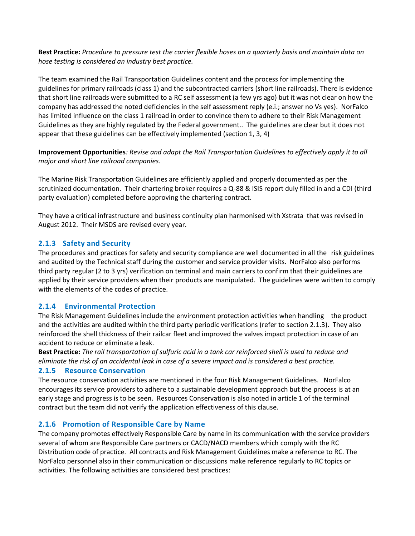**Best Practice:** *Procedure to pressure test the carrier flexible hoses on a quarterly basis and maintain data on hose testing is considered an industry best practice.* 

The team examined the Rail Transportation Guidelines content and the process for implementing the guidelines for primary railroads (class 1) and the subcontracted carriers (short line railroads). There is evidence that short line railroads were submitted to a RC self assessment (a few yrs ago) but it was not clear on how the company has addressed the noted deficiencies in the self assessment reply (e.i.; answer no Vs yes). NorFalco has limited influence on the class 1 railroad in order to convince them to adhere to their Risk Management Guidelines as they are highly regulated by the Federal government.. The guidelines are clear but it does not appear that these guidelines can be effectively implemented (section 1, 3, 4)

**Improvement Opportunities***: Revise and adapt the Rail Transportation Guidelines to effectively apply it to all major and short line railroad companies.* 

The Marine Risk Transportation Guidelines are efficiently applied and properly documented as per the scrutinized documentation. Their chartering broker requires a Q-88 & ISIS report duly filled in and a CDI (third party evaluation) completed before approving the chartering contract.

They have a critical infrastructure and business continuity plan harmonised with Xstrata that was revised in August 2012. Their MSDS are revised every year.

#### **2.1.3 Safety and Security**

The procedures and practices for safety and security compliance are well documented in all the risk guidelines and audited by the Technical staff during the customer and service provider visits. NorFalco also performs third party regular (2 to 3 yrs) verification on terminal and main carriers to confirm that their guidelines are applied by their service providers when their products are manipulated. The guidelines were written to comply with the elements of the codes of practice.

#### **2.1.4 Environmental Protection**

The Risk Management Guidelines include the environment protection activities when handling the product and the activities are audited within the third party periodic verifications (refer to section 2.1.3). They also reinforced the shell thickness of their railcar fleet and improved the valves impact protection in case of an accident to reduce or eliminate a leak.

**Best Practice:** *The rail transportation of sulfuric acid in a tank car reinforced shell is used to reduce and eliminate the risk of an accidental leak in case of a severe impact and is considered a best practice.*

#### **2.1.5 Resource Conservation**

The resource conservation activities are mentioned in the four Risk Management Guidelines. NorFalco encourages its service providers to adhere to a sustainable development approach but the process is at an early stage and progress is to be seen. Resources Conservation is also noted in article 1 of the terminal contract but the team did not verify the application effectiveness of this clause.

#### **2.1.6 Promotion of Responsible Care by Name**

The company promotes effectively Responsible Care by name in its communication with the service providers several of whom are Responsible Care partners or CACD/NACD members which comply with the RC Distribution code of practice. All contracts and Risk Management Guidelines make a reference to RC. The NorFalco personnel also in their communication or discussions make reference regularly to RC topics or activities. The following activities are considered best practices: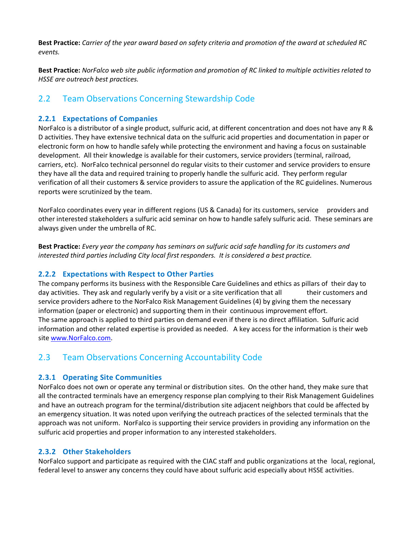**Best Practice:** *Carrier of the year award based on safety criteria and promotion of the award at scheduled RC events.*

**Best Practice:** *NorFalco web site public information and promotion of RC linked to multiple activities related to HSSE are outreach best practices.*

## 2.2 Team Observations Concerning Stewardship Code

#### **2.2.1 Expectations of Companies**

NorFalco is a distributor of a single product, sulfuric acid, at different concentration and does not have any R & D activities. They have extensive technical data on the sulfuric acid properties and documentation in paper or electronic form on how to handle safely while protecting the environment and having a focus on sustainable development. All their knowledge is available for their customers, service providers (terminal, railroad, carriers, etc). NorFalco technical personnel do regular visits to their customer and service providers to ensure they have all the data and required training to properly handle the sulfuric acid. They perform regular verification of all their customers & service providers to assure the application of the RC guidelines. Numerous reports were scrutinized by the team.

NorFalco coordinates every year in different regions (US & Canada) for its customers, service providers and other interested stakeholders a sulfuric acid seminar on how to handle safely sulfuric acid. These seminars are always given under the umbrella of RC.

**Best Practice:** *Every year the company has seminars on sulfuric acid safe handling for its customers and interested third parties including City local first responders. It is considered a best practice.*

#### **2.2.2 Expectations with Respect to Other Parties**

The company performs its business with the Responsible Care Guidelines and ethics as pillars of their day to day activities. They ask and regularly verify by a visit or a site verification that all their customers and service providers adhere to the NorFalco Risk Management Guidelines (4) by giving them the necessary information (paper or electronic) and supporting them in their continuous improvement effort. The same approach is applied to third parties on demand even if there is no direct affiliation. Sulfuric acid information and other related expertise is provided as needed. A key access for the information is their web site [www.NorFalco.com.](http://www.norfalco.com/)

#### 2.3 Team Observations Concerning Accountability Code

#### **2.3.1 Operating Site Communities**

NorFalco does not own or operate any terminal or distribution sites. On the other hand, they make sure that all the contracted terminals have an emergency response plan complying to their Risk Management Guidelines and have an outreach program for the terminal/distribution site adjacent neighbors that could be affected by an emergency situation. It was noted upon verifying the outreach practices of the selected terminals that the approach was not uniform. NorFalco is supporting their service providers in providing any information on the sulfuric acid properties and proper information to any interested stakeholders.

#### **2.3.2 Other Stakeholders**

NorFalco support and participate as required with the CIAC staff and public organizations at the local, regional, federal level to answer any concerns they could have about sulfuric acid especially about HSSE activities.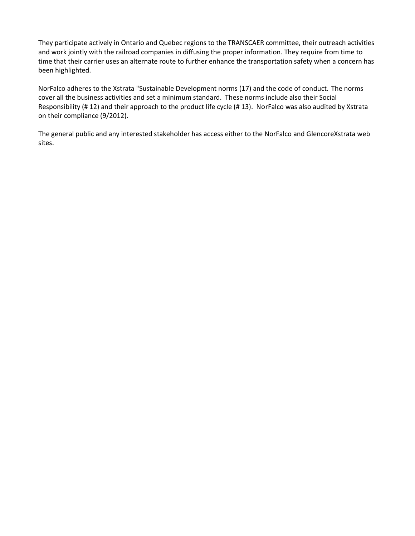They participate actively in Ontario and Quebec regions to the TRANSCAER committee, their outreach activities and work jointly with the railroad companies in diffusing the proper information. They require from time to time that their carrier uses an alternate route to further enhance the transportation safety when a concern has been highlighted.

NorFalco adheres to the Xstrata "Sustainable Development norms (17) and the code of conduct. The norms cover all the business activities and set a minimum standard. These norms include also their Social Responsibility (# 12) and their approach to the product life cycle (# 13). NorFalco was also audited by Xstrata on their compliance (9/2012).

The general public and any interested stakeholder has access either to the NorFalco and GlencoreXstrata web sites.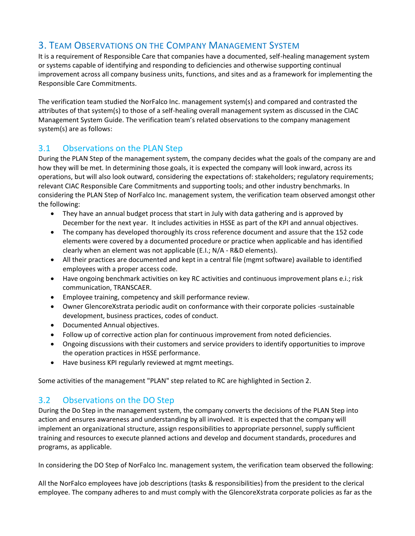## 3. TEAM OBSERVATIONS ON THE COMPANY MANAGEMENT SYSTEM

It is a requirement of Responsible Care that companies have a documented, self-healing management system or systems capable of identifying and responding to deficiencies and otherwise supporting continual improvement across all company business units, functions, and sites and as a framework for implementing the Responsible Care Commitments.

The verification team studied the NorFalco Inc. management system(s) and compared and contrasted the attributes of that system(s) to those of a self-healing overall management system as discussed in the CIAC Management System Guide. The verification team's related observations to the company management system(s) are as follows:

## 3.1 Observations on the PLAN Step

During the PLAN Step of the management system, the company decides what the goals of the company are and how they will be met. In determining those goals, it is expected the company will look inward, across its operations, but will also look outward, considering the expectations of: stakeholders; regulatory requirements; relevant CIAC Responsible Care Commitments and supporting tools; and other industry benchmarks. In considering the PLAN Step of NorFalco Inc. management system, the verification team observed amongst other the following:

- They have an annual budget process that start in July with data gathering and is approved by December for the next year. It includes activities in HSSE as part of the KPI and annual objectives.
- The company has developed thoroughly its cross reference document and assure that the 152 code elements were covered by a documented procedure or practice when applicable and has identified clearly when an element was not applicable (E.I.; N/A - R&D elements).
- All their practices are documented and kept in a central file (mgmt software) available to identified employees with a proper access code.
- Have ongoing benchmark activities on key RC activities and continuous improvement plans e.i.; risk communication, TRANSCAER.
- Employee training, competency and skill performance review.
- Owner GlencoreXstrata periodic audit on conformance with their corporate policies -sustainable development, business practices, codes of conduct.
- Documented Annual objectives.
- Follow up of corrective action plan for continuous improvement from noted deficiencies.
- Ongoing discussions with their customers and service providers to identify opportunities to improve the operation practices in HSSE performance.
- Have business KPI regularly reviewed at mgmt meetings.

Some activities of the management "PLAN" step related to RC are highlighted in Section 2.

## 3.2 Observations on the DO Step

During the Do Step in the management system, the company converts the decisions of the PLAN Step into action and ensures awareness and understanding by all involved. It is expected that the company will implement an organizational structure, assign responsibilities to appropriate personnel, supply sufficient training and resources to execute planned actions and develop and document standards, procedures and programs, as applicable.

In considering the DO Step of NorFalco Inc. management system, the verification team observed the following:

All the NorFalco employees have job descriptions (tasks & responsibilities) from the president to the clerical employee. The company adheres to and must comply with the GlencoreXstrata corporate policies as far as the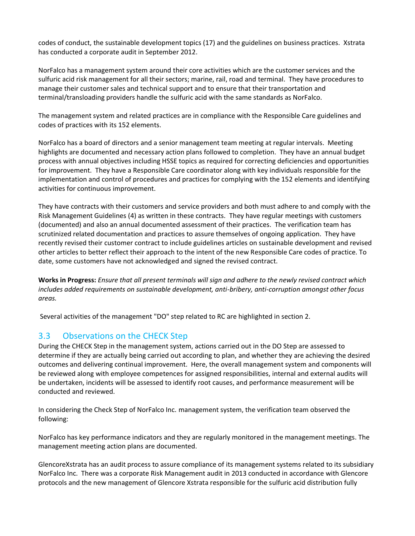codes of conduct, the sustainable development topics (17) and the guidelines on business practices. Xstrata has conducted a corporate audit in September 2012.

NorFalco has a management system around their core activities which are the customer services and the sulfuric acid risk management for all their sectors; marine, rail, road and terminal. They have procedures to manage their customer sales and technical support and to ensure that their transportation and terminal/transloading providers handle the sulfuric acid with the same standards as NorFalco.

The management system and related practices are in compliance with the Responsible Care guidelines and codes of practices with its 152 elements.

NorFalco has a board of directors and a senior management team meeting at regular intervals. Meeting highlights are documented and necessary action plans followed to completion. They have an annual budget process with annual objectives including HSSE topics as required for correcting deficiencies and opportunities for improvement. They have a Responsible Care coordinator along with key individuals responsible for the implementation and control of procedures and practices for complying with the 152 elements and identifying activities for continuous improvement.

They have contracts with their customers and service providers and both must adhere to and comply with the Risk Management Guidelines (4) as written in these contracts. They have regular meetings with customers (documented) and also an annual documented assessment of their practices. The verification team has scrutinized related documentation and practices to assure themselves of ongoing application. They have recently revised their customer contract to include guidelines articles on sustainable development and revised other articles to better reflect their approach to the intent of the new Responsible Care codes of practice. To date, some customers have not acknowledged and signed the revised contract.

**Works in Progress:** *Ensure that all present terminals will sign and adhere to the newly revised contract which includes added requirements on sustainable development, anti-bribery, anti-corruption amongst other focus areas.* 

Several activities of the management "DO" step related to RC are highlighted in section 2.

#### 3.3 Observations on the CHECK Step

During the CHECK Step in the management system, actions carried out in the DO Step are assessed to determine if they are actually being carried out according to plan, and whether they are achieving the desired outcomes and delivering continual improvement. Here, the overall management system and components will be reviewed along with employee competences for assigned responsibilities, internal and external audits will be undertaken, incidents will be assessed to identify root causes, and performance measurement will be conducted and reviewed.

In considering the Check Step of NorFalco Inc. management system, the verification team observed the following:

NorFalco has key performance indicators and they are regularly monitored in the management meetings. The management meeting action plans are documented.

GlencoreXstrata has an audit process to assure compliance of its management systems related to its subsidiary NorFalco Inc. There was a corporate Risk Management audit in 2013 conducted in accordance with Glencore protocols and the new management of Glencore Xstrata responsible for the sulfuric acid distribution fully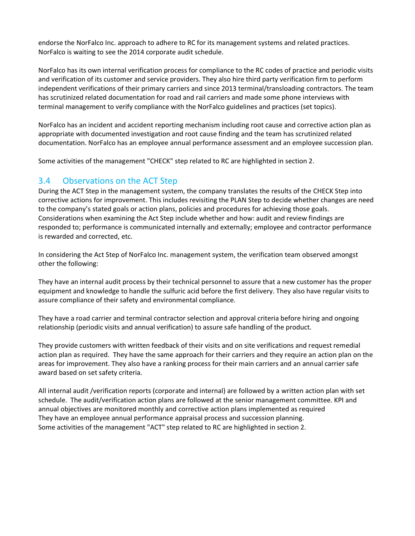endorse the NorFalco Inc. approach to adhere to RC for its management systems and related practices. NorFalco is waiting to see the 2014 corporate audit schedule.

NorFalco has its own internal verification process for compliance to the RC codes of practice and periodic visits and verification of its customer and service providers. They also hire third party verification firm to perform independent verifications of their primary carriers and since 2013 terminal/transloading contractors. The team has scrutinized related documentation for road and rail carriers and made some phone interviews with terminal management to verify compliance with the NorFalco guidelines and practices (set topics).

NorFalco has an incident and accident reporting mechanism including root cause and corrective action plan as appropriate with documented investigation and root cause finding and the team has scrutinized related documentation. NorFalco has an employee annual performance assessment and an employee succession plan.

Some activities of the management "CHECK" step related to RC are highlighted in section 2.

#### 3.4 Observations on the ACT Step

During the ACT Step in the management system, the company translates the results of the CHECK Step into corrective actions for improvement. This includes revisiting the PLAN Step to decide whether changes are need to the company's stated goals or action plans, policies and procedures for achieving those goals. Considerations when examining the Act Step include whether and how: audit and review findings are responded to; performance is communicated internally and externally; employee and contractor performance is rewarded and corrected, etc.

In considering the Act Step of NorFalco Inc. management system, the verification team observed amongst other the following:

They have an internal audit process by their technical personnel to assure that a new customer has the proper equipment and knowledge to handle the sulfuric acid before the first delivery. They also have regular visits to assure compliance of their safety and environmental compliance.

They have a road carrier and terminal contractor selection and approval criteria before hiring and ongoing relationship (periodic visits and annual verification) to assure safe handling of the product.

They provide customers with written feedback of their visits and on site verifications and request remedial action plan as required. They have the same approach for their carriers and they require an action plan on the areas for improvement. They also have a ranking process for their main carriers and an annual carrier safe award based on set safety criteria.

All internal audit /verification reports (corporate and internal) are followed by a written action plan with set schedule. The audit/verification action plans are followed at the senior management committee. KPI and annual objectives are monitored monthly and corrective action plans implemented as required They have an employee annual performance appraisal process and succession planning. Some activities of the management "ACT" step related to RC are highlighted in section 2.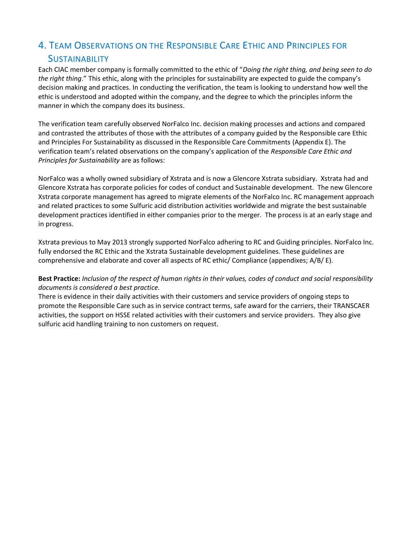## 4. TEAM OBSERVATIONS ON THE RESPONSIBLE CARE ETHIC AND PRINCIPLES FOR **SUSTAINABILITY**

Each CIAC member company is formally committed to the ethic of "*Doing the right thing, and being seen to do the right thing*." This ethic, along with the principles for sustainability are expected to guide the company's decision making and practices. In conducting the verification, the team is looking to understand how well the ethic is understood and adopted within the company, and the degree to which the principles inform the manner in which the company does its business.

The verification team carefully observed NorFalco Inc. decision making processes and actions and compared and contrasted the attributes of those with the attributes of a company guided by the Responsible care Ethic and Principles For Sustainability as discussed in the Responsible Care Commitments (Appendix E). The verification team's related observations on the company's application of the *Responsible Care Ethic and Principles for Sustainability* are as follows:

NorFalco was a wholly owned subsidiary of Xstrata and is now a Glencore Xstrata subsidiary. Xstrata had and Glencore Xstrata has corporate policies for codes of conduct and Sustainable development. The new Glencore Xstrata corporate management has agreed to migrate elements of the NorFalco Inc. RC management approach and related practices to some Sulfuric acid distribution activities worldwide and migrate the best sustainable development practices identified in either companies prior to the merger. The process is at an early stage and in progress.

Xstrata previous to May 2013 strongly supported NorFalco adhering to RC and Guiding principles. NorFalco Inc. fully endorsed the RC Ethic and the Xstrata Sustainable development guidelines. These guidelines are comprehensive and elaborate and cover all aspects of RC ethic/ Compliance (appendixes; A/B/ E).

#### **Best Practice:** *Inclusion of the respect of human rights in their values, codes of conduct and social responsibility documents is considered a best practice.*

There is evidence in their daily activities with their customers and service providers of ongoing steps to promote the Responsible Care such as in service contract terms, safe award for the carriers, their TRANSCAER activities, the support on HSSE related activities with their customers and service providers. They also give sulfuric acid handling training to non customers on request.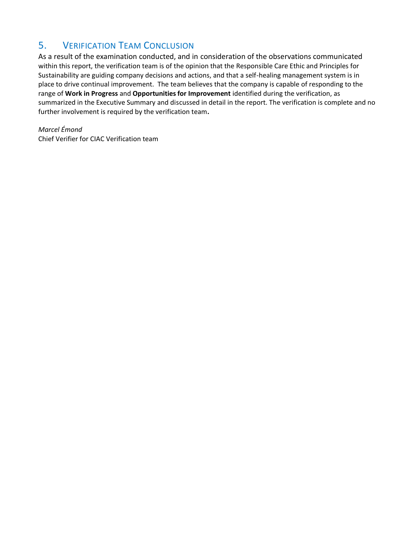## 5. VERIFICATION TEAM CONCLUSION

As a result of the examination conducted, and in consideration of the observations communicated within this report, the verification team is of the opinion that the Responsible Care Ethic and Principles for Sustainability are guiding company decisions and actions, and that a self-healing management system is in place to drive continual improvement. The team believes that the company is capable of responding to the range of **Work in Progress** and **Opportunities for Improvement** identified during the verification, as summarized in the Executive Summary and discussed in detail in the report. The verification is complete and no further involvement is required by the verification team**.**

*Marcel Émond* Chief Verifier for CIAC Verification team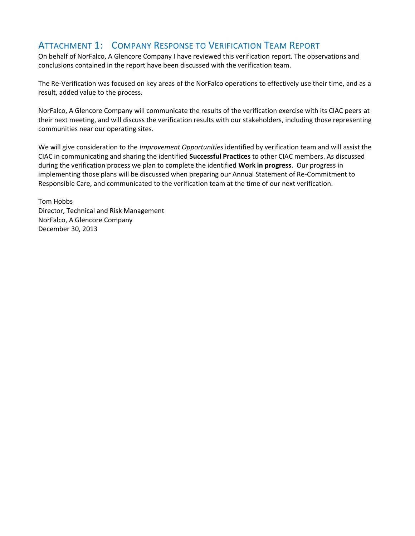## ATTACHMENT 1: COMPANY RESPONSE TO VERIFICATION TEAM REPORT

On behalf of NorFalco, A Glencore Company I have reviewed this verification report. The observations and conclusions contained in the report have been discussed with the verification team.

The Re-Verification was focused on key areas of the NorFalco operations to effectively use their time, and as a result, added value to the process.

NorFalco, A Glencore Company will communicate the results of the verification exercise with its CIAC peers at their next meeting, and will discuss the verification results with our stakeholders, including those representing communities near our operating sites.

We will give consideration to the *Improvement Opportunities* identified by verification team and will assist the CIAC in communicating and sharing the identified **Successful Practices** to other CIAC members. As discussed during the verification process we plan to complete the identified **Work in progress**. Our progress in implementing those plans will be discussed when preparing our Annual Statement of Re-Commitment to Responsible Care, and communicated to the verification team at the time of our next verification.

Tom Hobbs Director, Technical and Risk Management NorFalco, A Glencore Company December 30, 2013